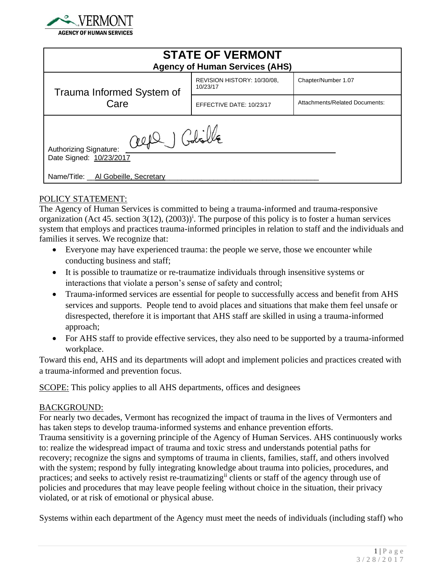

| <b>STATE OF VERMONT</b><br><b>Agency of Human Services (AHS)</b>                                        |                                         |                                |
|---------------------------------------------------------------------------------------------------------|-----------------------------------------|--------------------------------|
| Trauma Informed System of<br>Care                                                                       | REVISION HISTORY: 10/30/08.<br>10/23/17 | Chapter/Number 1.07            |
|                                                                                                         | EFFECTIVE DATE: 10/23/17                | Attachments/Related Documents: |
| alfe Golille<br>Authorizing Signature:<br>Date Signed: 10/23/2017<br>Name/Title: Al Gobeille, Secretary |                                         |                                |

## POLICY STATEMENT:

The Agency of Human Services is committed to being a trauma-informed and trauma-responsive organization (Act 45. section 3(12),  $(2003)^{i}$ . The purpose of this policy is to foster a human services system that employs and practices trauma-informed principles in relation to staff and the individuals and families it serves. We recognize that:

- Everyone may have experienced trauma: the people we serve, those we encounter while conducting business and staff;
- It is possible to traumatize or re-traumatize individuals through insensitive systems or interactions that violate a person's sense of safety and control;
- Trauma-informed services are essential for people to successfully access and benefit from AHS services and supports. People tend to avoid places and situations that make them feel unsafe or disrespected, therefore it is important that AHS staff are skilled in using a trauma-informed approach;
- For AHS staff to provide effective services, they also need to be supported by a trauma-informed workplace.

Toward this end, AHS and its departments will adopt and implement policies and practices created with a trauma-informed and prevention focus.

SCOPE: This policy applies to all AHS departments, offices and designees

#### BACKGROUND:

For nearly two decades, Vermont has recognized the impact of trauma in the lives of Vermonters and has taken steps to develop trauma-informed systems and enhance prevention efforts. Trauma sensitivity is a governing principle of the Agency of Human Services. AHS continuously works to: realize the widespread impact of trauma and toxic stress and understands potential paths for recovery; recognize the signs and symptoms of trauma in clients, families, staff, and others involved with the system; respond by fully integrating knowledge about trauma into policies, procedures, and practices; and seeks to actively resist re-traumatizing<sup>ii</sup> clients or staff of the agency through use of policies and procedures that may leave people feeling without choice in the situation, their privacy violated, or at risk of emotional or physical abuse.

Systems within each department of the Agency must meet the needs of individuals (including staff) who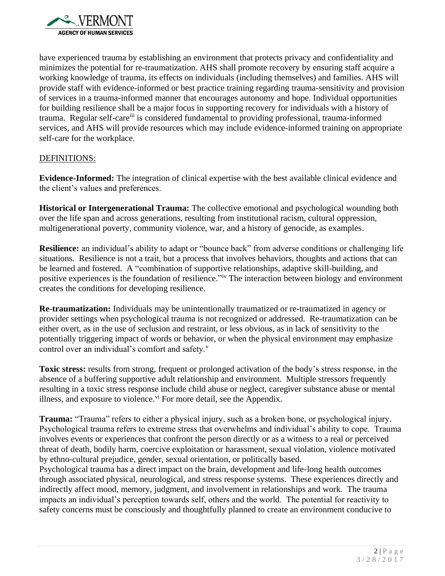

have experienced trauma by establishing an environment that protects privacy and confidentiality and minimizes the potential for re-traumatization. AHS shall promote recovery by ensuring staff acquire a working knowledge of trauma, its effects on individuals (including themselves) and families. AHS will provide staff with evidence-informed or best practice training regarding trauma-sensitivity and provision of services in a trauma-informed manner that encourages autonomy and hope. Individual opportunities for building resilience shall be a major focus in supporting recovery for individuals with a history of trauma. Regular self-careiii is considered fundamental to providing professional, trauma-informed services, and AHS will provide resources which may include evidence-informed training on appropriate self-care for the workplace.

## DEFINITIONS:

**Evidence-Informed:** The integration of clinical expertise with the best available clinical evidence and the client's values and preferences.

**Historical or Intergenerational Trauma:** The collective emotional and psychological wounding both over the life span and across generations, resulting from institutional racism, cultural oppression, multigenerational poverty, community violence, war, and a history of genocide, as examples.

**Resilience:** an individual's ability to adapt or "bounce back" from adverse conditions or challenging life situations. Resilience is not a trait, but a process that involves behaviors, thoughts and actions that can be learned and fostered. A "combination of supportive relationships, adaptive skill-building, and positive experiences is the foundation of resilience."<sup>iv</sup> The interaction between biology and environment creates the conditions for developing resilience.

**Re-traumatization:** Individuals may be unintentionally traumatized or re-traumatized in agency or provider settings when psychological trauma is not recognized or addressed. Re-traumatization can be either overt, as in the use of seclusion and restraint, or less obvious, as in lack of sensitivity to the potentially triggering impact of words or behavior, or when the physical environment may emphasize control over an individual's comfort and safety.<sup>v</sup>

**Toxic stress:** results from strong, frequent or prolonged activation of the body's stress response, in the absence of a buffering supportive adult relationship and environment. Multiple stressors frequently resulting in a toxic stress response include child abuse or neglect, caregiver substance abuse or mental illness, and exposure to violence.<sup>vi</sup> For more detail, see the Appendix.

**Trauma:** "Trauma" refers to either a physical injury, such as a broken bone, or psychological injury. Psychological trauma refers to extreme stress that overwhelms and individual's ability to cope. Trauma involves events or experiences that confront the person directly or as a witness to a real or perceived threat of death, bodily harm, coercive exploitation or harassment, sexual violation, violence motivated by ethno-cultural prejudice, gender, sexual orientation, or politically based.

Psychological trauma has a direct impact on the brain, development and life-long health outcomes through associated physical, neurological, and stress response systems. These experiences directly and indirectly affect mood, memory, judgment, and involvement in relationships and work. The trauma impacts an individual's perception towards self, others and the world. The potential for reactivity to safety concerns must be consciously and thoughtfully planned to create an environment conducive to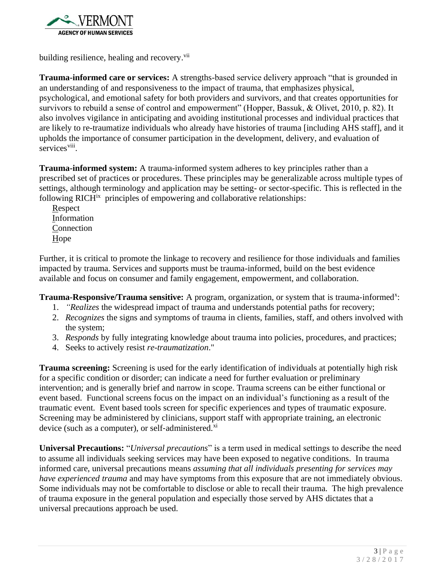

building resilience, healing and recovery.<sup>vii</sup>

**Trauma-informed care or services:** A strengths-based service delivery approach "that is grounded in an understanding of and responsiveness to the impact of trauma, that emphasizes physical, psychological, and emotional safety for both providers and survivors, and that creates opportunities for survivors to rebuild a sense of control and empowerment" (Hopper, Bassuk, & Olivet, 2010, p. 82). It also involves vigilance in anticipating and avoiding institutional processes and individual practices that are likely to re-traumatize individuals who already have histories of trauma [including AHS staff], and it upholds the importance of consumer participation in the development, delivery, and evaluation of services<sup>viii</sup>.

**Trauma-informed system:** A trauma-informed system adheres to key principles rather than a prescribed set of practices or procedures. These principles may be generalizable across multiple types of settings, although terminology and application may be setting- or sector-specific. This is reflected in the following RICH<sup>ix</sup> principles of empowering and collaborative relationships:

Respect Information Connection Hope

Further, it is critical to promote the linkage to recovery and resilience for those individuals and families impacted by trauma. Services and supports must be trauma-informed, build on the best evidence available and focus on consumer and family engagement, empowerment, and collaboration.

Trauma-Responsive/Trauma sensitive: A program, organization, or system that is trauma-informed<sup>x</sup>:

- 1. *"Realizes* the widespread impact of trauma and understands potential paths for recovery;
- 2. *Recognizes* the signs and symptoms of trauma in clients, families, staff, and others involved with the system;
- 3. *Responds* by fully integrating knowledge about trauma into policies, procedures, and practices;
- 4. Seeks to actively resist *re-traumatization*."

**Trauma screening:** Screening is used for the early identification of individuals at potentially high risk for a specific condition or disorder; can indicate a need for further evaluation or preliminary intervention; and is generally brief and narrow in scope. Trauma screens can be either functional or event based. Functional screens focus on the impact on an individual's functioning as a result of the traumatic event. Event based tools screen for specific experiences and types of traumatic exposure. Screening may be administered by clinicians, support staff with appropriate training, an electronic device (such as a computer), or self-administered.<sup>xi</sup>

**Universal Precautions:** "*Universal precautions*" is a term used in medical settings to describe the need to assume all individuals seeking services may have been exposed to negative conditions. In trauma informed care, universal precautions means *assuming that all individuals presenting for services may have experienced trauma* and may have symptoms from this exposure that are not immediately obvious. Some individuals may not be comfortable to disclose or able to recall their trauma. The high prevalence of trauma exposure in the general population and especially those served by AHS dictates that a universal precautions approach be used.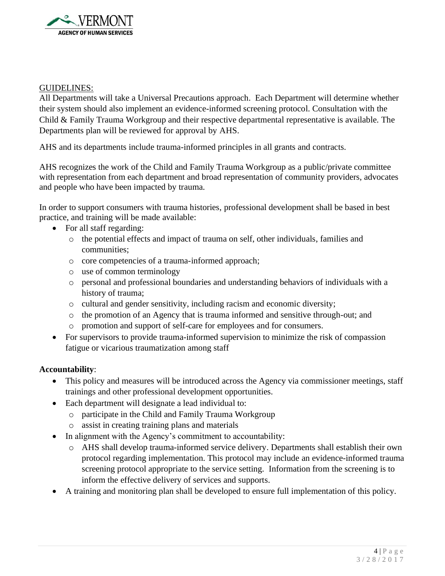

## GUIDELINES:

All Departments will take a Universal Precautions approach. Each Department will determine whether their system should also implement an evidence-informed screening protocol. Consultation with the Child & Family Trauma Workgroup and their respective departmental representative is available. The Departments plan will be reviewed for approval by AHS.

AHS and its departments include trauma-informed principles in all grants and contracts.

AHS recognizes the work of the Child and Family Trauma Workgroup as a public/private committee with representation from each department and broad representation of community providers, advocates and people who have been impacted by trauma.

In order to support consumers with trauma histories, professional development shall be based in best practice, and training will be made available:

- For all staff regarding:
	- o the potential effects and impact of trauma on self, other individuals, families and communities;
	- o core competencies of a trauma-informed approach;
	- o use of common terminology
	- o personal and professional boundaries and understanding behaviors of individuals with a history of trauma;
	- o cultural and gender sensitivity, including racism and economic diversity;
	- o the promotion of an Agency that is trauma informed and sensitive through-out; and
	- o promotion and support of self-care for employees and for consumers.
- For supervisors to provide trauma-informed supervision to minimize the risk of compassion fatigue or vicarious traumatization among staff

## **Accountability**:

- This policy and measures will be introduced across the Agency via commissioner meetings, staff trainings and other professional development opportunities.
- Each department will designate a lead individual to:
	- o participate in the Child and Family Trauma Workgroup
	- o assist in creating training plans and materials
- In alignment with the Agency's commitment to accountability:
	- o AHS shall develop trauma-informed service delivery. Departments shall establish their own protocol regarding implementation. This protocol may include an evidence-informed trauma screening protocol appropriate to the service setting. Information from the screening is to inform the effective delivery of services and supports.
- A training and monitoring plan shall be developed to ensure full implementation of this policy.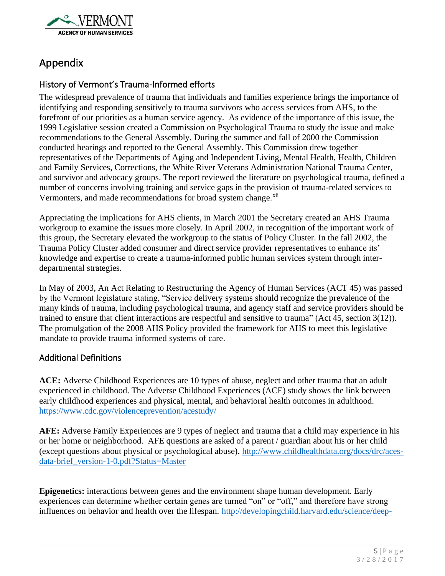

# Appendix

# History of Vermont's Trauma-Informed efforts

The widespread prevalence of trauma that individuals and families experience brings the importance of identifying and responding sensitively to trauma survivors who access services from AHS, to the forefront of our priorities as a human service agency. As evidence of the importance of this issue, the 1999 Legislative session created a Commission on Psychological Trauma to study the issue and make recommendations to the General Assembly. During the summer and fall of 2000 the Commission conducted hearings and reported to the General Assembly. This Commission drew together representatives of the Departments of Aging and Independent Living, Mental Health, Health, Children and Family Services, Corrections, the White River Veterans Administration National Trauma Center, and survivor and advocacy groups. The report reviewed the literature on psychological trauma, defined a number of concerns involving training and service gaps in the provision of trauma-related services to Vermonters, and made recommendations for broad system change.<sup>xii</sup>

Appreciating the implications for AHS clients, in March 2001 the Secretary created an AHS Trauma workgroup to examine the issues more closely. In April 2002, in recognition of the important work of this group, the Secretary elevated the workgroup to the status of Policy Cluster. In the fall 2002, the Trauma Policy Cluster added consumer and direct service provider representatives to enhance its' knowledge and expertise to create a trauma-informed public human services system through interdepartmental strategies.

In May of 2003, An Act Relating to Restructuring the Agency of Human Services (ACT 45) was passed by the Vermont legislature stating, "Service delivery systems should recognize the prevalence of the many kinds of trauma, including psychological trauma, and agency staff and service providers should be trained to ensure that client interactions are respectful and sensitive to trauma" (Act 45, section 3(12)). The promulgation of the 2008 AHS Policy provided the framework for AHS to meet this legislative mandate to provide trauma informed systems of care.

# Additional Definitions

**ACE:** Adverse Childhood Experiences are 10 types of abuse, neglect and other trauma that an adult experienced in childhood. The Adverse Childhood Experiences (ACE) study shows the link between early childhood experiences and physical, mental, and behavioral health outcomes in adulthood. <https://www.cdc.gov/violenceprevention/acestudy/>

**AFE:** Adverse Family Experiences are 9 types of neglect and trauma that a child may experience in his or her home or neighborhood. AFE questions are asked of a parent / guardian about his or her child (except questions about physical or psychological abuse). [http://www.childhealthdata.org/docs/drc/aces](http://www.childhealthdata.org/docs/drc/aces-data-brief_version-1-0.pdf?Status=Master)[data-brief\\_version-1-0.pdf?Status=Master](http://www.childhealthdata.org/docs/drc/aces-data-brief_version-1-0.pdf?Status=Master)

**Epigenetics:** interactions between genes and the environment shape human development. Early experiences can determine whether certain genes are turned "on" or "off," and therefore have strong influences on behavior and health over the lifespan. [http://developingchild.harvard.edu/science/deep-](http://developingchild.harvard.edu/science/deep-dives/gene-environment-interaction/)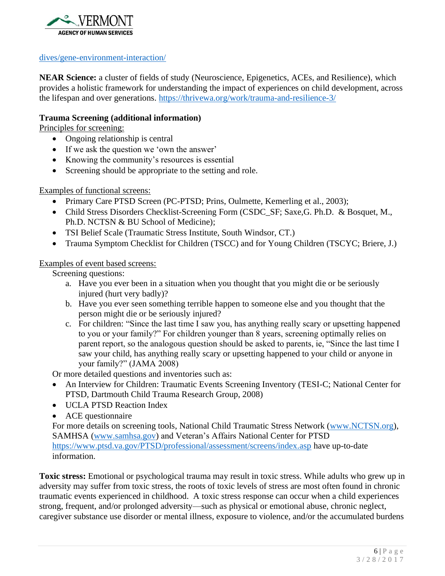

## [dives/gene-environment-interaction/](http://developingchild.harvard.edu/science/deep-dives/gene-environment-interaction/)

**NEAR Science:** a cluster of fields of study (Neuroscience, Epigenetics, ACEs, and Resilience), which provides a holistic framework for understanding the impact of experiences on child development, across the lifespan and over generations.<https://thrivewa.org/work/trauma-and-resilience-3/>

## **Trauma Screening (additional information)**

Principles for screening:

- Ongoing relationship is central
- If we ask the question we 'own the answer'
- Knowing the community's resources is essential
- Screening should be appropriate to the setting and role.

Examples of functional screens:

- Primary Care PTSD Screen (PC-PTSD; Prins, Oulmette, Kemerling et al., 2003);
- Child Stress Disorders Checklist-Screening Form (CSDC\_SF; Saxe,G. Ph.D. & Bosquet, M., Ph.D. NCTSN & BU School of Medicine);
- TSI Belief Scale (Traumatic Stress Institute, South Windsor, CT.)
- Trauma Symptom Checklist for Children (TSCC) and for Young Children (TSCYC; Briere, J.)

## Examples of event based screens:

Screening questions:

- a. Have you ever been in a situation when you thought that you might die or be seriously injured (hurt very badly)?
- b. Have you ever seen something terrible happen to someone else and you thought that the person might die or be seriously injured?
- c. For children: "Since the last time I saw you, has anything really scary or upsetting happened to you or your family?" For children younger than 8 years, screening optimally relies on parent report, so the analogous question should be asked to parents, ie, "Since the last time I saw your child, has anything really scary or upsetting happened to your child or anyone in your family?" (JAMA 2008)

Or more detailed questions and inventories such as:

- An Interview for Children: Traumatic Events Screening Inventory (TESI-C; National Center for PTSD, Dartmouth Child Trauma Research Group, 2008)
- UCLA PTSD Reaction Index
- ACE questionnaire

For more details on screening tools, National Child Traumatic Stress Network [\(www.NCTSN.org\)](http://www.nctsn.org/), SAMHSA [\(www.samhsa.gov\)](http://www.samhsa.gov/) and Veteran's Affairs National Center for PTSD <https://www.ptsd.va.gov/PTSD/professional/assessment/screens/index.asp> have up-to-date information.

**Toxic stress:** Emotional or psychological trauma may result in toxic stress. While adults who grew up in adversity may suffer from toxic stress, the roots of toxic levels of stress are most often found in chronic traumatic events experienced in childhood. A toxic stress response can occur when a child experiences strong, frequent, and/or prolonged adversity—such as physical or emotional abuse, chronic neglect, caregiver substance use disorder or mental illness, exposure to violence, and/or the accumulated burdens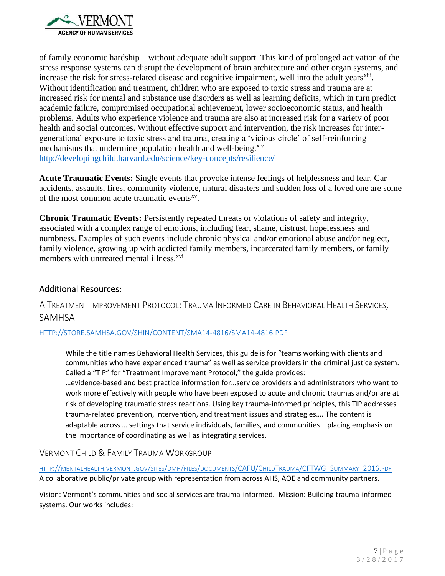

of family economic hardship—without adequate adult support. This kind of prolonged activation of the stress response systems can disrupt the development of brain architecture and other organ systems, and increase the risk for stress-related disease and cognitive impairment, well into the adult years<sup>xiii</sup>. Without identification and treatment, children who are exposed to toxic stress and trauma are at increased risk for mental and substance use disorders as well as learning deficits, which in turn predict academic failure, compromised occupational achievement, lower socioeconomic status, and health problems. Adults who experience violence and trauma are also at increased risk for a variety of poor health and social outcomes. Without effective support and intervention, the risk increases for intergenerational exposure to toxic stress and trauma, creating a 'vicious circle' of self-reinforcing mechanisms that undermine population health and well-being.<sup>xiv</sup> <http://developingchild.harvard.edu/science/key-concepts/resilience/>

**Acute Traumatic Events:** Single events that provoke intense feelings of helplessness and fear. Car accidents, assaults, fires, community violence, natural disasters and sudden loss of a loved one are some of the most common acute traumatic events<sup>xv</sup>.

**Chronic Traumatic Events:** Persistently repeated threats or violations of safety and integrity, associated with a complex range of emotions, including fear, shame, distrust, hopelessness and numbness. Examples of such events include chronic physical and/or emotional abuse and/or neglect, family violence, growing up with addicted family members, incarcerated family members, or family members with untreated mental illness.<sup>xvi</sup>

## Additional Resources:

A TREATMENT IMPROVEMENT PROTOCOL: TRAUMA INFORMED CARE IN BEHAVIORAL HEALTH SERVICES, SAMHSA

#### [HTTP://STORE.SAMHSA.GOV/SHIN/CONTENT/SMA14-4816/SMA14-4816.PDF](http://store.samhsa.gov/shin/content/SMA14-4816/SMA14-4816.pdf)

While the title names Behavioral Health Services, this guide is for "teams working with clients and communities who have experienced trauma" as well as service providers in the criminal justice system. Called a "TIP" for "Treatment Improvement Protocol," the guide provides:

…evidence-based and best practice information for…service providers and administrators who want to work more effectively with people who have been exposed to acute and chronic traumas and/or are at risk of developing traumatic stress reactions. Using key trauma-informed principles, this TIP addresses trauma-related prevention, intervention, and treatment issues and strategies…. The content is adaptable across … settings that service individuals, families, and communities—placing emphasis on the importance of coordinating as well as integrating services.

VERMONT CHILD & FAMILY TRAUMA WORKGROUP

HTTP://[MENTALHEALTH](http://mentalhealth.vermont.gov/sites/dmh/files/documents/CAFU/ChildTrauma/CFTWG_Summary_2016.pdf).VERMONT.GOV/SITES/DMH/FILES/DOCUMENTS/CAFU/CHILDTRAUMA/CFTWG\_SUMMARY\_2016.PDF A collaborative public/private group with representation from across AHS, AOE and community partners.

Vision: Vermont's communities and social services are trauma-informed. Mission: Building trauma-informed systems. Our works includes: